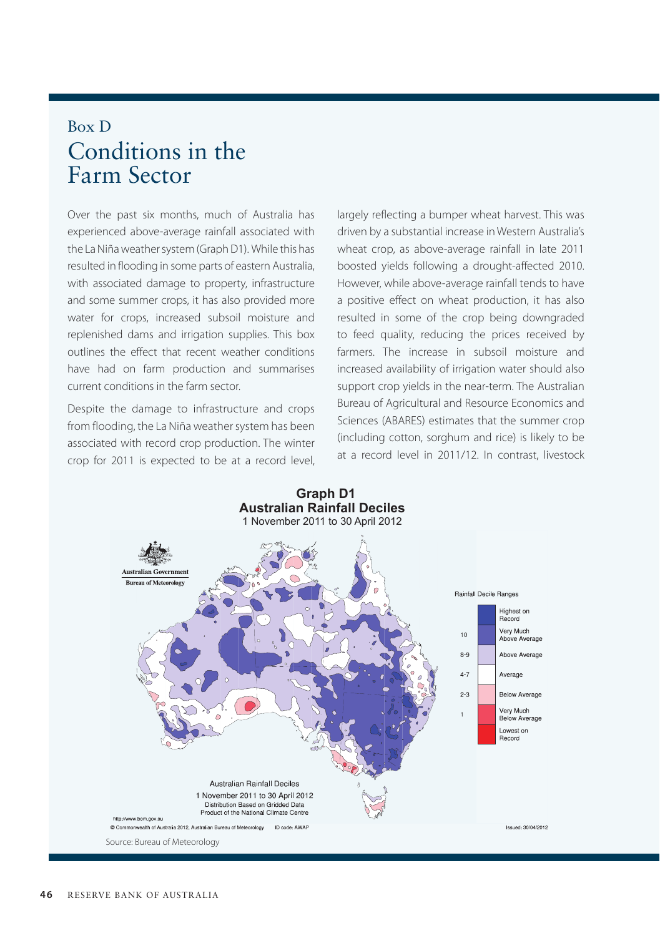## Box D Conditions in the Farm Sector

Over the past six months, much of Australia has experienced above-average rainfall associated with the La Niña weather system (Graph D1). While this has resulted in flooding in some parts of eastern Australia, with associated damage to property, infrastructure and some summer crops, it has also provided more water for crops, increased subsoil moisture and replenished dams and irrigation supplies. This box outlines the effect that recent weather conditions have had on farm production and summarises current conditions in the farm sector.

Despite the damage to infrastructure and crops from flooding, the La Niña weather system has been associated with record crop production. The winter crop for 2011 is expected to be at a record level, largely reflecting a bumper wheat harvest. This was driven by a substantial increase in Western Australia's wheat crop, as above-average rainfall in late 2011 boosted yields following a drought-affected 2010. However, while above-average rainfall tends to have a positive effect on wheat production, it has also resulted in some of the crop being downgraded to feed quality, reducing the prices received by farmers. The increase in subsoil moisture and increased availability of irrigation water should also support crop yields in the near-term. The Australian Bureau of Agricultural and Resource Economics and Sciences (ABARES) estimates that the summer crop (including cotton, sorghum and rice) is likely to be at a record level in 2011/12. In contrast, livestock

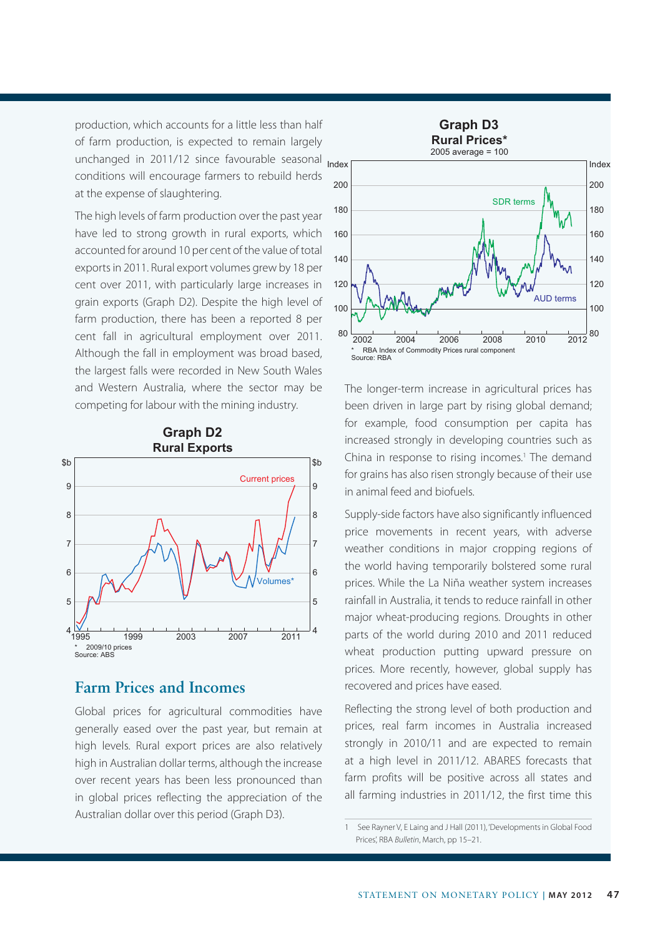production, which accounts for a little less than half of farm production, is expected to remain largely unchanged in 2011/12 since favourable seasonal <sub>Index</sub> conditions will encourage farmers to rebuild herds at the expense of slaughtering.

The high levels of farm production over the past year have led to strong growth in rural exports, which accounted for around 10 per cent of the value of total exports in 2011. Rural export volumes grew by 18 per cent over 2011, with particularly large increases in grain exports (Graph D2). Despite the high level of farm production, there has been a reported 8 per cent fall in agricultural employment over 2011. Although the fall in employment was broad based, the largest falls were recorded in New South Wales and Western Australia, where the sector may be competing for labour with the mining industry.



## **Farm Prices and Incomes**

Global prices for agricultural commodities have generally eased over the past year, but remain at high levels. Rural export prices are also relatively high in Australian dollar terms, although the increase over recent years has been less pronounced than in global prices reflecting the appreciation of the Australian dollar over this period (Graph D3).



The longer-term increase in agricultural prices has been driven in large part by rising global demand; for example, food consumption per capita has increased strongly in developing countries such as China in response to rising incomes.<sup>1</sup> The demand for grains has also risen strongly because of their use in animal feed and biofuels.

Supply-side factors have also significantly influenced price movements in recent years, with adverse weather conditions in major cropping regions of the world having temporarily bolstered some rural prices. While the La Niña weather system increases rainfall in Australia, it tends to reduce rainfall in other major wheat-producing regions. Droughts in other parts of the world during 2010 and 2011 reduced wheat production putting upward pressure on prices. More recently, however, global supply has recovered and prices have eased.

Reflecting the strong level of both production and prices, real farm incomes in Australia increased strongly in 2010/11 and are expected to remain at a high level in 2011/12. ABARES forecasts that farm profits will be positive across all states and all farming industries in 2011/12, the first time this

<sup>1</sup> See Rayner V, E Laing and J Hall (2011), 'Developments in Global Food Prices', RBA *Bulletin*, March, pp 15–21.